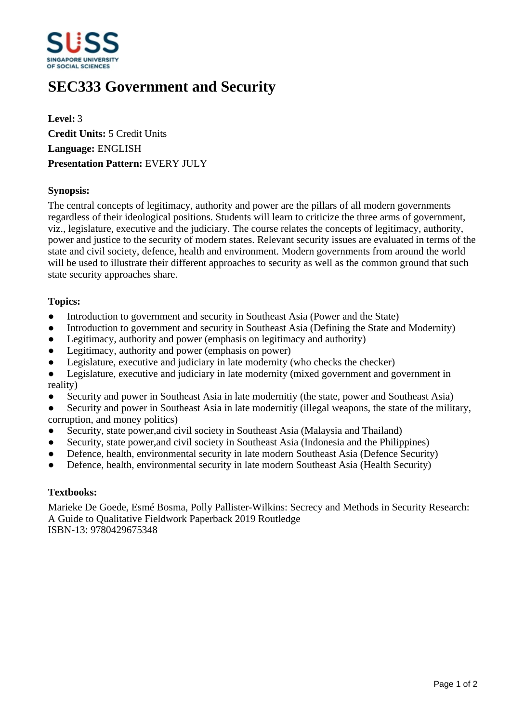

# **SEC333 Government and Security**

**Level:** 3 **Credit Units:** 5 Credit Units **Language:** ENGLISH **Presentation Pattern:** EVERY JULY

## **Synopsis:**

The central concepts of legitimacy, authority and power are the pillars of all modern governments regardless of their ideological positions. Students will learn to criticize the three arms of government, viz., legislature, executive and the judiciary. The course relates the concepts of legitimacy, authority, power and justice to the security of modern states. Relevant security issues are evaluated in terms of the state and civil society, defence, health and environment. Modern governments from around the world will be used to illustrate their different approaches to security as well as the common ground that such state security approaches share.

#### **Topics:**

- Introduction to government and security in Southeast Asia (Power and the State)
- Introduction to government and security in Southeast Asia (Defining the State and Modernity)
- Legitimacy, authority and power (emphasis on legitimacy and authority)
- Legitimacy, authority and power (emphasis on power)
- Legislature, executive and judiciary in late modernity (who checks the checker)
- Legislature, executive and judiciary in late modernity (mixed government and government in reality)
- Security and power in Southeast Asia in late modernitiy (the state, power and Southeast Asia)
- Security and power in Southeast Asia in late modernitiy (illegal weapons, the state of the military, corruption, and money politics)
- Security, state power, and civil society in Southeast Asia (Malaysia and Thailand)
- Security, state power, and civil society in Southeast Asia (Indonesia and the Philippines)
- Defence, health, environmental security in late modern Southeast Asia (Defence Security)
- Defence, health, environmental security in late modern Southeast Asia (Health Security)

#### **Textbooks:**

Marieke De Goede, Esmé Bosma, Polly Pallister-Wilkins: Secrecy and Methods in Security Research: A Guide to Qualitative Fieldwork Paperback 2019 Routledge ISBN-13: 9780429675348